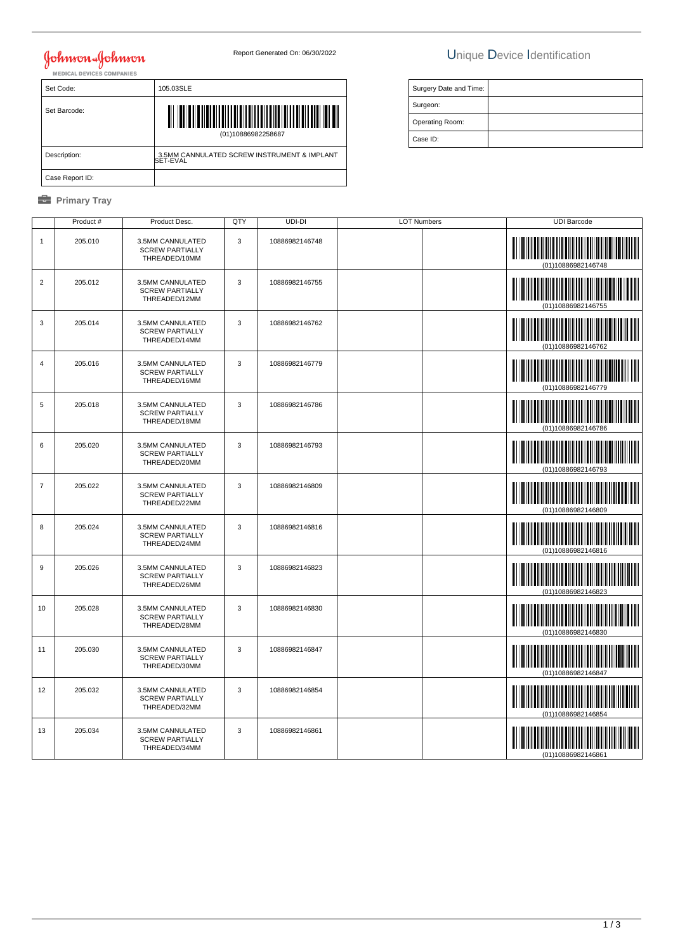## Johnson & Johnson<br>MEDICAL DEVICES COMPANIES

## Report Generated On: 06/30/2022 Unique Device Identification

| Set Code:       | 105.03SLE                                               |  |  |
|-----------------|---------------------------------------------------------|--|--|
| Set Barcode:    | <u>                    </u><br>(01)10886982258687       |  |  |
| Description:    | 3.5MM CANNULATED SCREW INSTRUMENT & IMPLANT<br>SET-EVAL |  |  |
| Case Report ID: |                                                         |  |  |

#### **B** Primary Tray

| Surgery Date and Time: |  |
|------------------------|--|
| Surgeon:               |  |
| Operating Room:        |  |
| Case ID:               |  |

|                | Product # | Product Desc.                                               | QTY | UDI-DI         | <b>LOT Numbers</b> | <b>UDI Barcode</b>                                           |
|----------------|-----------|-------------------------------------------------------------|-----|----------------|--------------------|--------------------------------------------------------------|
| $\mathbf{1}$   | 205.010   | 3.5MM CANNULATED<br><b>SCREW PARTIALLY</b><br>THREADED/10MM | 3   | 10886982146748 |                    | (01)10886982146748                                           |
| $\overline{c}$ | 205.012   | 3.5MM CANNULATED<br><b>SCREW PARTIALLY</b><br>THREADED/12MM | 3   | 10886982146755 |                    | (01)10886982146755                                           |
| 3              | 205.014   | 3.5MM CANNULATED<br><b>SCREW PARTIALLY</b><br>THREADED/14MM | 3   | 10886982146762 |                    | (01)10886982146762                                           |
| 4              | 205.016   | 3.5MM CANNULATED<br><b>SCREW PARTIALLY</b><br>THREADED/16MM | 3   | 10886982146779 |                    |                                                              |
| 5              | 205.018   | 3.5MM CANNULATED<br><b>SCREW PARTIALLY</b><br>THREADED/18MM | 3   | 10886982146786 |                    | (01)10886982146786                                           |
| 6              | 205.020   | 3.5MM CANNULATED<br><b>SCREW PARTIALLY</b><br>THREADED/20MM | 3   | 10886982146793 |                    |                                                              |
| $\overline{7}$ | 205.022   | 3.5MM CANNULATED<br><b>SCREW PARTIALLY</b><br>THREADED/22MM | 3   | 10886982146809 |                    | (01)10886982146809                                           |
| 8              | 205.024   | 3.5MM CANNULATED<br><b>SCREW PARTIALLY</b><br>THREADED/24MM | 3   | 10886982146816 |                    | (01)10886982146816                                           |
| $9\,$          | 205.026   | 3.5MM CANNULATED<br><b>SCREW PARTIALLY</b><br>THREADED/26MM | 3   | 10886982146823 |                    | (01)10886982146823                                           |
| 10             | 205.028   | 3.5MM CANNULATED<br><b>SCREW PARTIALLY</b><br>THREADED/28MM | 3   | 10886982146830 |                    | <u> III Martin Martin III Martin S</u><br>(01)10886982146830 |
| 11             | 205.030   | 3.5MM CANNULATED<br><b>SCREW PARTIALLY</b><br>THREADED/30MM | 3   | 10886982146847 |                    | <u> III Martin Martin Martin </u><br>(01)10886982146847      |
| 12             | 205.032   | 3.5MM CANNULATED<br><b>SCREW PARTIALLY</b><br>THREADED/32MM | 3   | 10886982146854 |                    | (01)10886982146854                                           |
| 13             | 205.034   | 3.5MM CANNULATED<br><b>SCREW PARTIALLY</b><br>THREADED/34MM | 3   | 10886982146861 |                    | (01)10886982146861                                           |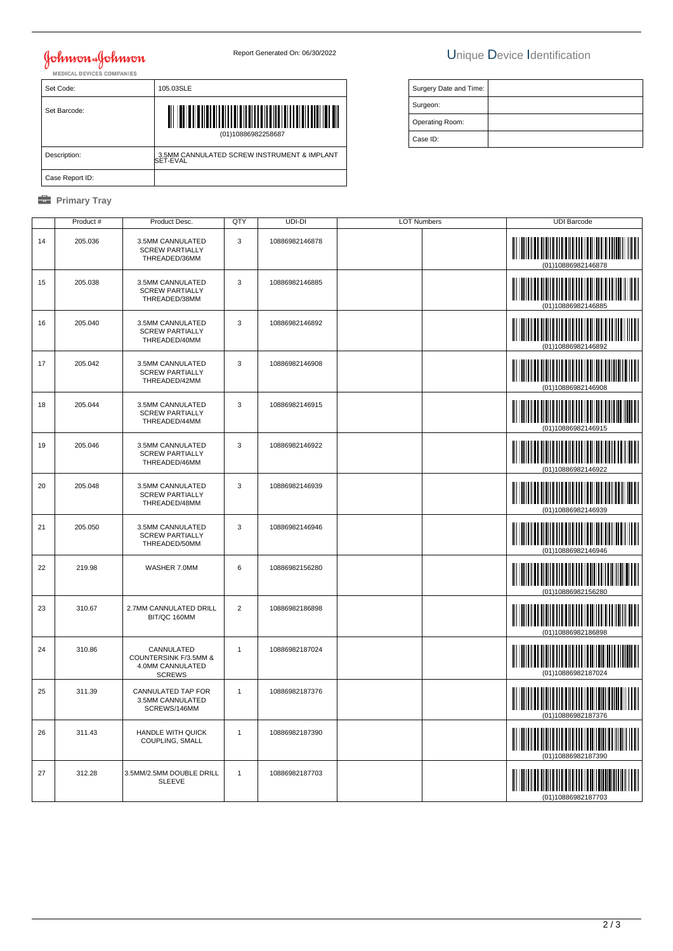# **Johnson & Johnson**

| Set Code:       | 105.03SLE                                               |
|-----------------|---------------------------------------------------------|
| Set Barcode:    | IIIIIIIIIII<br>(01)10886982258687                       |
| Description:    | 3.5MM CANNULATED SCREW INSTRUMENT & IMPLANT<br>SET-EVAL |
| Case Report ID: |                                                         |

#### **B** Primary Tray

## Report Generated On: 06/30/2022 Unique Device Identification

| Surgery Date and Time: |  |
|------------------------|--|
| Surgeon:               |  |
| Operating Room:        |  |
| Case ID:               |  |

|    | Product # | Product Desc.                                                            | QTY            | UDI-DI         | <b>LOT Numbers</b> | <b>UDI Barcode</b>                                                                                                                          |
|----|-----------|--------------------------------------------------------------------------|----------------|----------------|--------------------|---------------------------------------------------------------------------------------------------------------------------------------------|
| 14 | 205.036   | 3.5MM CANNULATED<br><b>SCREW PARTIALLY</b><br>THREADED/36MM              | 3              | 10886982146878 |                    | (01)10886982146878                                                                                                                          |
| 15 | 205.038   | 3.5MM CANNULATED<br><b>SCREW PARTIALLY</b><br>THREADED/38MM              | 3              | 10886982146885 |                    | <u> Indian American State (Indian Indian Indian Indian Indian Indian Indian Indian Indian Indian Indian Indian In</u>                       |
| 16 | 205.040   | 3.5MM CANNULATED<br><b>SCREW PARTIALLY</b><br>THREADED/40MM              | 3              | 10886982146892 |                    |                                                                                                                                             |
| 17 | 205.042   | 3.5MM CANNULATED<br><b>SCREW PARTIALLY</b><br>THREADED/42MM              | $\mathsf 3$    | 10886982146908 |                    | <u> III Martin Martin Martin Martin Martin Martin Martin Martin Martin Martin Martin Martin Martin Martin Martin </u><br>(01)10886982146908 |
| 18 | 205.044   | 3.5MM CANNULATED<br><b>SCREW PARTIALLY</b><br>THREADED/44MM              | 3              | 10886982146915 |                    |                                                                                                                                             |
| 19 | 205.046   | 3.5MM CANNULATED<br><b>SCREW PARTIALLY</b><br>THREADED/46MM              | 3              | 10886982146922 |                    | (01)10886982146922                                                                                                                          |
| 20 | 205.048   | 3.5MM CANNULATED<br><b>SCREW PARTIALLY</b><br>THREADED/48MM              | $\mathbf{3}$   | 10886982146939 |                    | <b>IN THE REAL PROPERTY OF PROPERTY</b><br>(01)10886982146939                                                                               |
| 21 | 205.050   | 3.5MM CANNULATED<br><b>SCREW PARTIALLY</b><br>THREADED/50MM              | 3              | 10886982146946 |                    | <b>IN THE REAL PROPERTY OF PROPERTY</b><br>(01)10886982146946                                                                               |
| 22 | 219.98    | WASHER 7.0MM                                                             | $\,6\,$        | 10886982156280 |                    |                                                                                                                                             |
| 23 | 310.67    | 2.7MM CANNULATED DRILL<br>BIT/QC 160MM                                   | $\overline{2}$ | 10886982186898 |                    | (01)10886982186898                                                                                                                          |
| 24 | 310.86    | CANNULATED<br>COUNTERSINK F/3.5MM &<br>4.0MM CANNULATED<br><b>SCREWS</b> | $\overline{1}$ | 10886982187024 |                    | (01)10886982187024                                                                                                                          |
| 25 | 311.39    | CANNULATED TAP FOR<br>3.5MM CANNULATED<br>SCREWS/146MM                   | $\mathbf{1}$   | 10886982187376 |                    | 01)10886982187376                                                                                                                           |
| 26 | 311.43    | <b>HANDLE WITH QUICK</b><br>COUPLING, SMALL                              | $\mathbf{1}$   | 10886982187390 |                    | (01)10886982187390                                                                                                                          |
| 27 | 312.28    | 3.5MM/2.5MM DOUBLE DRILL<br><b>SLEEVE</b>                                | $\mathbf{1}$   | 10886982187703 |                    | (01)10886982187703                                                                                                                          |
|    |           |                                                                          |                |                |                    |                                                                                                                                             |